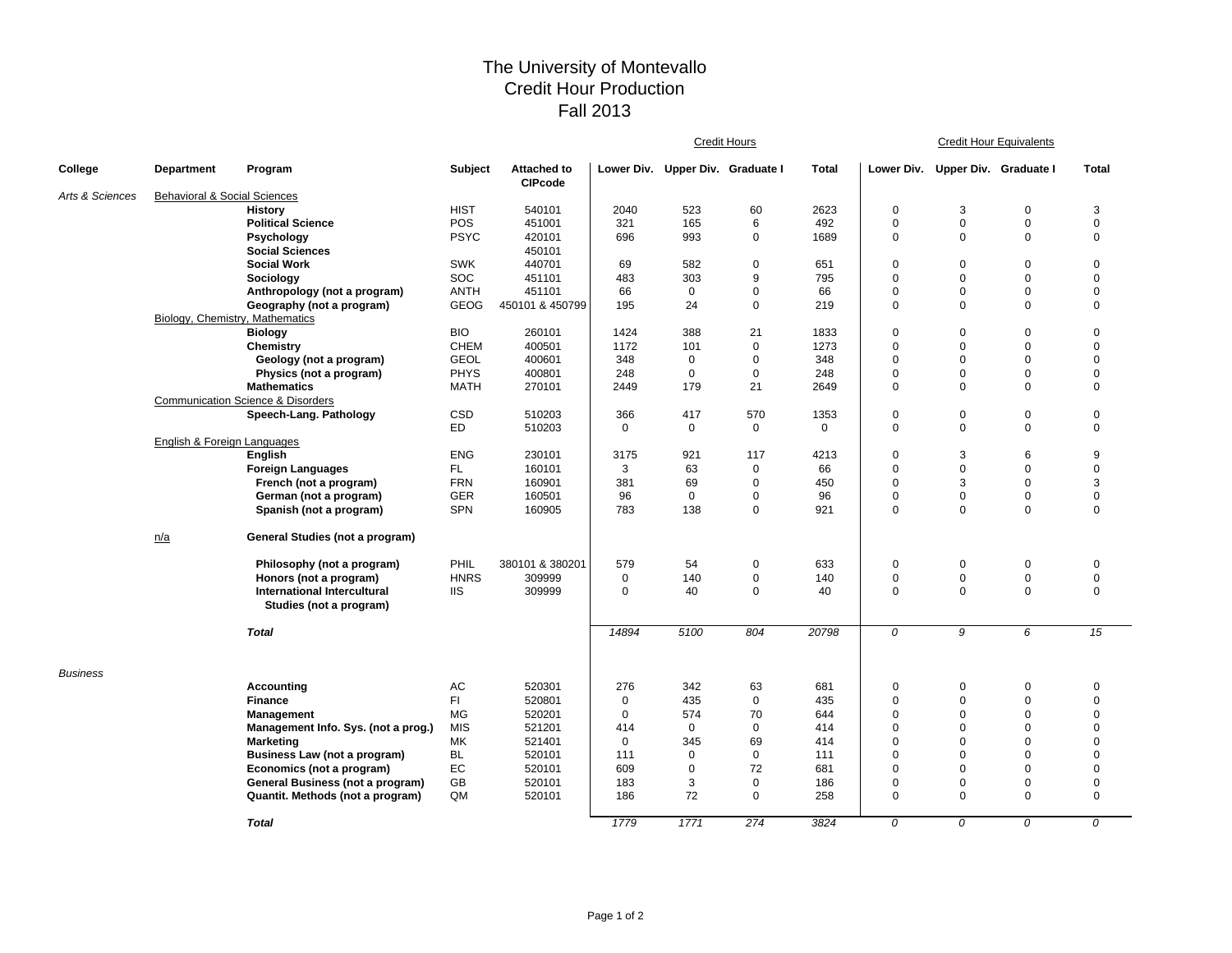## The University of Montevallo Credit Hour Production Fall 2013

|                 |                                         |                                                        |             |                                      | <b>Credit Hours</b> |                                  |             |          |                | <b>Credit Hour Equivalents</b> |                 |              |  |
|-----------------|-----------------------------------------|--------------------------------------------------------|-------------|--------------------------------------|---------------------|----------------------------------|-------------|----------|----------------|--------------------------------|-----------------|--------------|--|
| College         | <b>Department</b>                       | Program                                                | Subject     | <b>Attached to</b><br><b>CIPcode</b> |                     | Lower Div. Upper Div. Graduate I |             | Total    | Lower Div.     | Upper Div. Graduate I          |                 | <b>Total</b> |  |
| Arts & Sciences | <b>Behavioral &amp; Social Sciences</b> |                                                        |             |                                      |                     |                                  |             |          |                |                                |                 |              |  |
|                 |                                         | <b>History</b>                                         | <b>HIST</b> | 540101                               | 2040                | 523                              | 60          | 2623     | $\mathbf 0$    | 3                              | $\mathbf 0$     | 3            |  |
|                 |                                         | <b>Political Science</b>                               | POS         | 451001                               | 321                 | 165                              | 6           | 492      | 0              | $\mathsf 0$                    | $\mathbf 0$     | $\mathbf 0$  |  |
|                 |                                         | Psychology                                             | <b>PSYC</b> | 420101                               | 696                 | 993                              | $\mathbf 0$ | 1689     | $\mathbf 0$    | $\mathbf 0$                    | $\Omega$        | $\mathbf 0$  |  |
|                 |                                         | <b>Social Sciences</b>                                 |             | 450101                               |                     |                                  |             |          |                |                                |                 |              |  |
|                 |                                         | <b>Social Work</b>                                     | <b>SWK</b>  | 440701                               | 69                  | 582                              | $\mathbf 0$ | 651      | $\mathbf 0$    | $\mathbf 0$                    | $\mathbf 0$     | $\mathbf 0$  |  |
|                 |                                         | Sociology                                              | SOC         | 451101                               | 483                 | 303                              | 9           | 795      | $\mathbf 0$    | $\mathsf 0$                    | $\mathbf 0$     | $\mathbf 0$  |  |
|                 |                                         | Anthropology (not a program)                           | <b>ANTH</b> | 451101                               | 66                  | $\mathbf 0$                      | $\mathbf 0$ | 66       | $\mathbf 0$    | $\mathbf 0$                    | $\mathbf 0$     | $\mathbf 0$  |  |
|                 |                                         | Geography (not a program)                              | GEOG        | 450101 & 450799                      | 195                 | 24                               | $\pmb{0}$   | 219      | 0              | $\pmb{0}$                      | $\mathbf 0$     | $\mathbf 0$  |  |
|                 | Biology, Chemistry, Mathematics         |                                                        |             |                                      |                     |                                  |             |          |                |                                |                 |              |  |
|                 |                                         | <b>Biology</b>                                         | <b>BIO</b>  | 260101                               | 1424                | 388                              | 21          | 1833     | 0              | $\mathbf 0$                    | $\mathbf 0$     | $\mathbf 0$  |  |
|                 |                                         | Chemistry                                              | <b>CHEM</b> | 400501                               | 1172                | 101                              | $\mathbf 0$ | 1273     | $\mathbf 0$    | $\mathbf 0$                    | $\mathbf 0$     | $\mathbf 0$  |  |
|                 |                                         | Geology (not a program)                                | <b>GEOL</b> | 400601                               | 348                 | $\mathbf 0$                      | $\mathbf 0$ | 348      | $\mathbf 0$    | $\mathbf 0$                    | $\mathbf 0$     | $\mathbf 0$  |  |
|                 |                                         | Physics (not a program)                                | <b>PHYS</b> | 400801                               | 248                 | $\mathbf 0$                      | $\mathbf 0$ | 248      | 0              | $\mathbf 0$                    | $\mathbf 0$     | $\mathbf 0$  |  |
|                 |                                         | <b>Mathematics</b>                                     | <b>MATH</b> | 270101                               | 2449                | 179                              | 21          | 2649     | $\mathbf 0$    | $\mathbf 0$                    | $\Omega$        | $\mathbf 0$  |  |
|                 |                                         | <b>Communication Science &amp; Disorders</b>           |             |                                      |                     |                                  |             |          |                |                                |                 |              |  |
|                 |                                         | Speech-Lang. Pathology                                 | CSD         | 510203                               | 366                 | 417                              | 570         | 1353     | 0              | $\mathbf 0$                    | $\mathbf 0$     | $\mathbf 0$  |  |
|                 |                                         |                                                        | <b>ED</b>   | 510203                               | $\mathbf 0$         | $\mathbf 0$                      | 0           | $\Omega$ | $\mathbf 0$    | $\mathsf 0$                    | $\mathbf 0$     | $\mathbf 0$  |  |
|                 | <b>English &amp; Foreign Languages</b>  |                                                        |             |                                      |                     |                                  |             |          |                |                                |                 |              |  |
|                 |                                         | English                                                | <b>ENG</b>  | 230101                               | 3175                | 921                              | 117         | 4213     | 0              | 3                              | $6\phantom{1}6$ | 9            |  |
|                 |                                         | <b>Foreign Languages</b>                               | FL.         | 160101                               | 3                   | 63                               | $\pmb{0}$   | 66       | $\mathbf 0$    | $\mathsf 0$                    | $\mathbf 0$     | $\mathbf 0$  |  |
|                 |                                         | French (not a program)                                 | <b>FRN</b>  | 160901                               | 381                 | 69                               | $\pmb{0}$   | 450      | $\mathbf 0$    | 3                              | $\mathbf 0$     | 3            |  |
|                 |                                         | German (not a program)                                 | <b>GER</b>  | 160501                               | 96                  | $\mathbf 0$                      | 0           | 96       | 0              | $\mathbf 0$                    | $\mathbf 0$     | $\mathbf 0$  |  |
|                 |                                         | Spanish (not a program)                                | <b>SPN</b>  | 160905                               | 783                 | 138                              | $\mathbf 0$ | 921      | $\mathbf 0$    | $\mathbf 0$                    | $\mathbf 0$     | $\mathbf 0$  |  |
|                 | n/a                                     | General Studies (not a program)                        |             |                                      |                     |                                  |             |          |                |                                |                 |              |  |
|                 |                                         | Philosophy (not a program)                             | PHIL        | 380101 & 380201                      | 579                 | 54                               | $\mathbf 0$ | 633      | 0              | $\mathbf 0$                    | $\mathbf 0$     | $\mathbf 0$  |  |
|                 |                                         | Honors (not a program)                                 | <b>HNRS</b> | 309999                               | $\mathbf 0$         | 140                              | $\mathbf 0$ | 140      | 0              | $\mathsf 0$                    | $\mathbf 0$     | $\mathbf 0$  |  |
|                 |                                         | International Intercultural<br>Studies (not a program) | <b>IIS</b>  | 309999                               | $\Omega$            | 40                               | $\mathbf 0$ | 40       | $\mathbf 0$    | $\Omega$                       | $\Omega$        | $\mathbf 0$  |  |
|                 |                                         | <b>Total</b>                                           |             |                                      | 14894               | 5100                             | 804         | 20798    | 0              | 9                              | 6               | 15           |  |
| <b>Business</b> |                                         | <b>Accounting</b>                                      | AC          | 520301                               | 276                 | 342                              | 63          | 681      | 0              | $\mathbf 0$                    | $\mathbf 0$     | $\mathbf 0$  |  |
|                 |                                         | <b>Finance</b>                                         | FI.         | 520801                               | $\mathbf 0$         | 435                              | 0           | 435      | $\mathbf 0$    | $\mathbf 0$                    | $\mathbf 0$     | $\mathbf 0$  |  |
|                 |                                         | Management                                             | <b>MG</b>   | 520201                               | $\mathbf 0$         | 574                              | 70          | 644      | $\mathbf 0$    | $\mathbf 0$                    | $\mathbf 0$     | $\mathbf 0$  |  |
|                 |                                         | Management Info. Sys. (not a prog.)                    | <b>MIS</b>  | 521201                               | 414                 | $\mathbf 0$                      | $\mathbf 0$ | 414      | $\mathbf 0$    | $\mathbf 0$                    | $\mathbf 0$     | $\mathbf 0$  |  |
|                 |                                         | <b>Marketing</b>                                       | МK          | 521401                               | $\mathbf{0}$        | 345                              | 69          | 414      | 0              | $\mathbf 0$                    | $\mathbf 0$     | $\mathbf 0$  |  |
|                 |                                         | Business Law (not a program)                           | <b>BL</b>   | 520101                               | 111                 | 0                                | $\mathbf 0$ | 111      | 0              | $\mathbf 0$                    | $\mathbf 0$     | $\mathbf 0$  |  |
|                 |                                         | Economics (not a program)                              | EC          | 520101                               | 609                 | $\mathbf 0$                      | 72          | 681      | $\mathbf 0$    | $\mathbf 0$                    | $\mathbf 0$     | $\mathbf 0$  |  |
|                 |                                         | General Business (not a program)                       | GB          | 520101                               | 183                 | 3                                | $\mathbf 0$ | 186      | 0              | $\mathbf 0$                    | $\mathbf 0$     | $\mathbf 0$  |  |
|                 |                                         | Quantit. Methods (not a program)                       | QM          | 520101                               | 186                 | 72                               | $\mathbf 0$ | 258      | $\mathbf 0$    | $\mathbf 0$                    | $\Omega$        | $\mathbf 0$  |  |
|                 |                                         | <b>Total</b>                                           |             |                                      | 1779                | 1771                             | 274         | 3824     | $\overline{0}$ | $\Omega$                       | $\overline{0}$  | $\Omega$     |  |